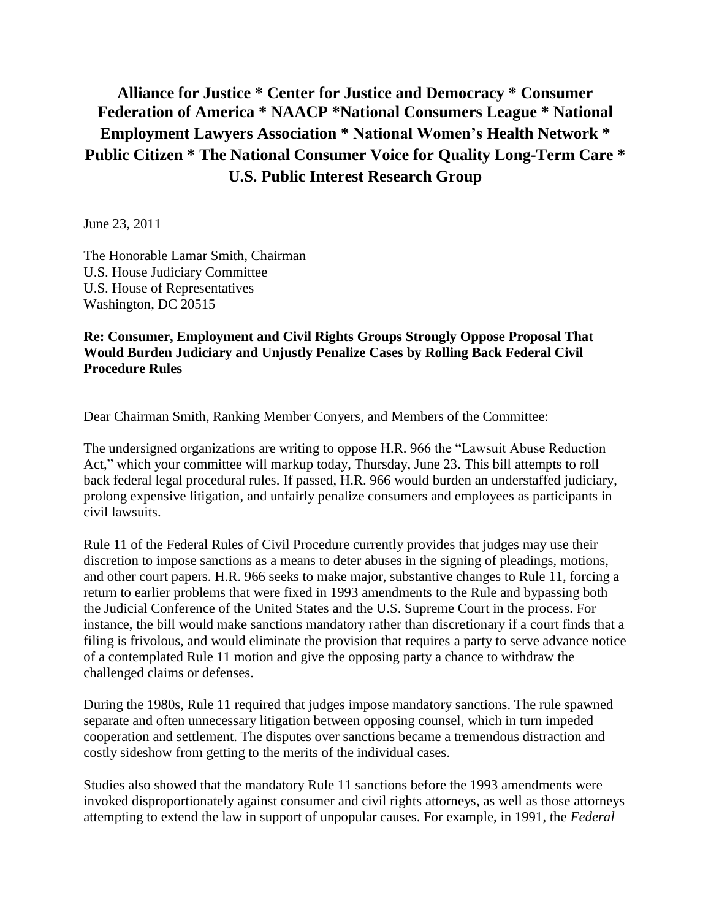## **Alliance for Justice \* Center for Justice and Democracy \* Consumer Federation of America \* NAACP \*National Consumers League \* National Employment Lawyers Association \* National Women's Health Network \* Public Citizen \* The National Consumer Voice for Quality Long-Term Care \* U.S. Public Interest Research Group**

June 23, 2011

The Honorable Lamar Smith, Chairman U.S. House Judiciary Committee U.S. House of Representatives Washington, DC 20515

## **Re: Consumer, Employment and Civil Rights Groups Strongly Oppose Proposal That Would Burden Judiciary and Unjustly Penalize Cases by Rolling Back Federal Civil Procedure Rules**

Dear Chairman Smith, Ranking Member Conyers, and Members of the Committee:

The undersigned organizations are writing to oppose H.R. 966 the "Lawsuit Abuse Reduction Act," which your committee will markup today, Thursday, June 23. This bill attempts to roll back federal legal procedural rules. If passed, H.R. 966 would burden an understaffed judiciary, prolong expensive litigation, and unfairly penalize consumers and employees as participants in civil lawsuits.

Rule 11 of the Federal Rules of Civil Procedure currently provides that judges may use their discretion to impose sanctions as a means to deter abuses in the signing of pleadings, motions, and other court papers. H.R. 966 seeks to make major, substantive changes to Rule 11, forcing a return to earlier problems that were fixed in 1993 amendments to the Rule and bypassing both the Judicial Conference of the United States and the U.S. Supreme Court in the process. For instance, the bill would make sanctions mandatory rather than discretionary if a court finds that a filing is frivolous, and would eliminate the provision that requires a party to serve advance notice of a contemplated Rule 11 motion and give the opposing party a chance to withdraw the challenged claims or defenses.

During the 1980s, Rule 11 required that judges impose mandatory sanctions. The rule spawned separate and often unnecessary litigation between opposing counsel, which in turn impeded cooperation and settlement. The disputes over sanctions became a tremendous distraction and costly sideshow from getting to the merits of the individual cases.

Studies also showed that the mandatory Rule 11 sanctions before the 1993 amendments were invoked disproportionately against consumer and civil rights attorneys, as well as those attorneys attempting to extend the law in support of unpopular causes. For example, in 1991, the *Federal*